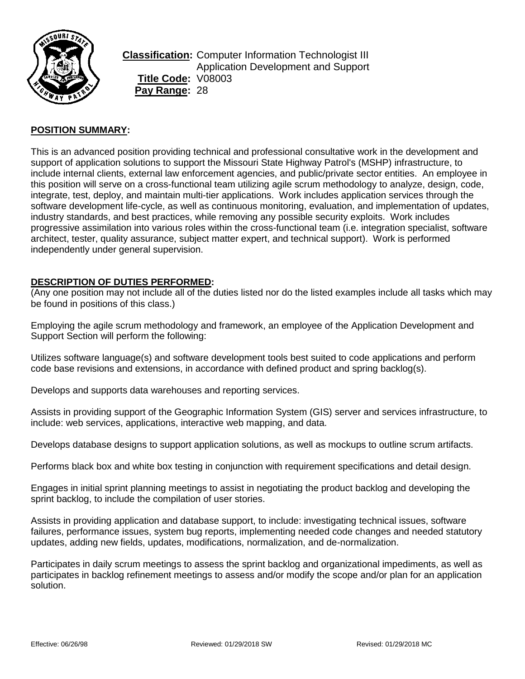

**Classification:** Computer Information Technologist III Application Development and Support **Title Code:** V08003 **Pay Range:** 28

## **POSITION SUMMARY:**

This is an advanced position providing technical and professional consultative work in the development and support of application solutions to support the Missouri State Highway Patrol's (MSHP) infrastructure, to include internal clients, external law enforcement agencies, and public/private sector entities. An employee in this position will serve on a cross-functional team utilizing agile scrum methodology to analyze, design, code, integrate, test, deploy, and maintain multi-tier applications. Work includes application services through the software development life-cycle, as well as continuous monitoring, evaluation, and implementation of updates, industry standards, and best practices, while removing any possible security exploits. Work includes progressive assimilation into various roles within the cross-functional team (i.e. integration specialist, software architect, tester, quality assurance, subject matter expert, and technical support). Work is performed independently under general supervision.

### **DESCRIPTION OF DUTIES PERFORMED:**

(Any one position may not include all of the duties listed nor do the listed examples include all tasks which may be found in positions of this class.)

Employing the agile scrum methodology and framework, an employee of the Application Development and Support Section will perform the following:

Utilizes software language(s) and software development tools best suited to code applications and perform code base revisions and extensions, in accordance with defined product and spring backlog(s).

Develops and supports data warehouses and reporting services.

Assists in providing support of the Geographic Information System (GIS) server and services infrastructure, to include: web services, applications, interactive web mapping, and data.

Develops database designs to support application solutions, as well as mockups to outline scrum artifacts.

Performs black box and white box testing in conjunction with requirement specifications and detail design.

Engages in initial sprint planning meetings to assist in negotiating the product backlog and developing the sprint backlog, to include the compilation of user stories.

Assists in providing application and database support, to include: investigating technical issues, software failures, performance issues, system bug reports, implementing needed code changes and needed statutory updates, adding new fields, updates, modifications, normalization, and de-normalization.

Participates in daily scrum meetings to assess the sprint backlog and organizational impediments, as well as participates in backlog refinement meetings to assess and/or modify the scope and/or plan for an application solution.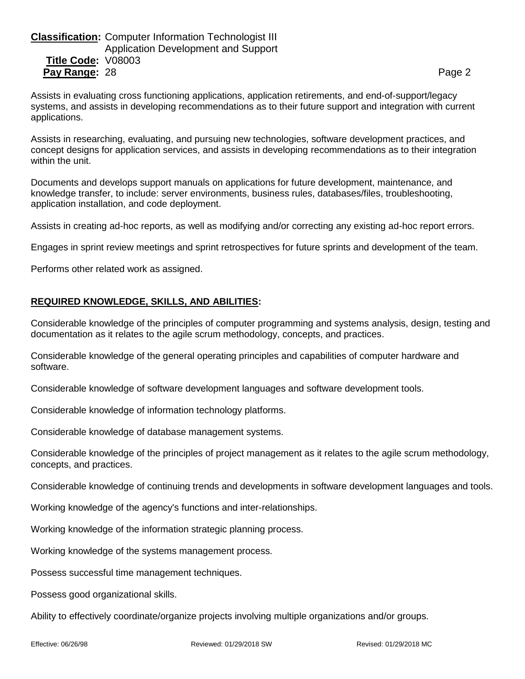# **Classification:** Computer Information Technologist III Application Development and Support **Title Code:** V08003 **Pay Range:** 28 Page 2

Assists in evaluating cross functioning applications, application retirements, and end-of-support/legacy systems, and assists in developing recommendations as to their future support and integration with current applications.

Assists in researching, evaluating, and pursuing new technologies, software development practices, and concept designs for application services, and assists in developing recommendations as to their integration within the unit.

Documents and develops support manuals on applications for future development, maintenance, and knowledge transfer, to include: server environments, business rules, databases/files, troubleshooting, application installation, and code deployment.

Assists in creating ad-hoc reports, as well as modifying and/or correcting any existing ad-hoc report errors.

Engages in sprint review meetings and sprint retrospectives for future sprints and development of the team.

Performs other related work as assigned.

## **REQUIRED KNOWLEDGE, SKILLS, AND ABILITIES:**

Considerable knowledge of the principles of computer programming and systems analysis, design, testing and documentation as it relates to the agile scrum methodology, concepts, and practices.

Considerable knowledge of the general operating principles and capabilities of computer hardware and software.

Considerable knowledge of software development languages and software development tools.

Considerable knowledge of information technology platforms.

Considerable knowledge of database management systems.

Considerable knowledge of the principles of project management as it relates to the agile scrum methodology, concepts, and practices.

Considerable knowledge of continuing trends and developments in software development languages and tools.

Working knowledge of the agency's functions and inter-relationships.

Working knowledge of the information strategic planning process.

Working knowledge of the systems management process.

Possess successful time management techniques.

Possess good organizational skills.

Ability to effectively coordinate/organize projects involving multiple organizations and/or groups.